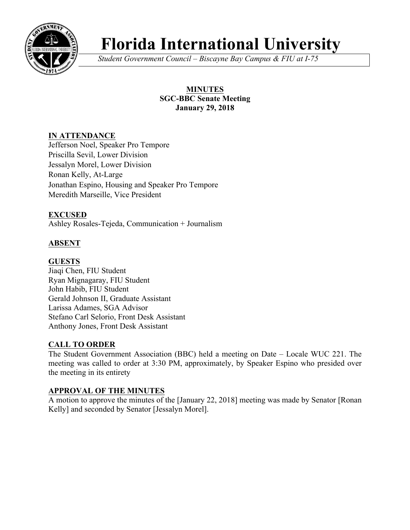

# **Florida International University**

*Student Government Council – Biscayne Bay Campus & FIU at I-75*

# **MINUTES SGC-BBC Senate Meeting January 29, 2018**

# **IN ATTENDANCE**

Jefferson Noel, Speaker Pro Tempore Priscilla Sevil, Lower Division Jessalyn Morel, Lower Division Ronan Kelly, At-Large Jonathan Espino, Housing and Speaker Pro Tempore Meredith Marseille, Vice President

# **EXCUSED**

Ashley Rosales-Tejeda, Communication + Journalism

# **ABSENT**

# **GUESTS**

Jiaqi Chen, FIU Student Ryan Mignagaray, FIU Student John Habib, FIU Student Gerald Johnson II, Graduate Assistant Larissa Adames, SGA Advisor Stefano Carl Selorio, Front Desk Assistant Anthony Jones, Front Desk Assistant

# **CALL TO ORDER**

The Student Government Association (BBC) held a meeting on Date – Locale WUC 221. The meeting was called to order at 3:30 PM, approximately, by Speaker Espino who presided over the meeting in its entirety

# **APPROVAL OF THE MINUTES**

A motion to approve the minutes of the [January 22, 2018] meeting was made by Senator [Ronan Kelly] and seconded by Senator [Jessalyn Morel].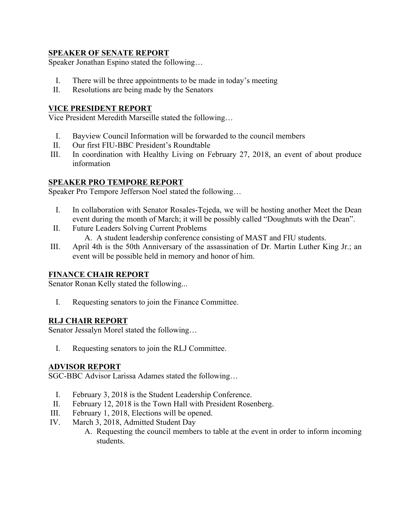# **SPEAKER OF SENATE REPORT**

Speaker Jonathan Espino stated the following…

- I. There will be three appointments to be made in today's meeting
- II. Resolutions are being made by the Senators

## **VICE PRESIDENT REPORT**

Vice President Meredith Marseille stated the following…

- I. Bayview Council Information will be forwarded to the council members
- II. Our first FIU-BBC President's Roundtable
- III. In coordination with Healthy Living on February 27, 2018, an event of about produce information

### **SPEAKER PRO TEMPORE REPORT**

Speaker Pro Tempore Jefferson Noel stated the following…

- I. In collaboration with Senator Rosales-Tejeda, we will be hosting another Meet the Dean event during the month of March; it will be possibly called "Doughnuts with the Dean".
- II. Future Leaders Solving Current Problems
	- A. A student leadership conference consisting of MAST and FIU students.
- III. April 4th is the 50th Anniversary of the assassination of Dr. Martin Luther King Jr.; an event will be possible held in memory and honor of him.

#### **FINANCE CHAIR REPORT**

Senator Ronan Kelly stated the following...

I. Requesting senators to join the Finance Committee.

#### **RLJ CHAIR REPORT**

Senator Jessalyn Morel stated the following…

I. Requesting senators to join the RLJ Committee.

#### **ADVISOR REPORT**

SGC-BBC Advisor Larissa Adames stated the following…

- I. February 3, 2018 is the Student Leadership Conference.
- II. February 12, 2018 is the Town Hall with President Rosenberg.
- III. February 1, 2018, Elections will be opened.
- IV. March 3, 2018, Admitted Student Day
	- A. Requesting the council members to table at the event in order to inform incoming students.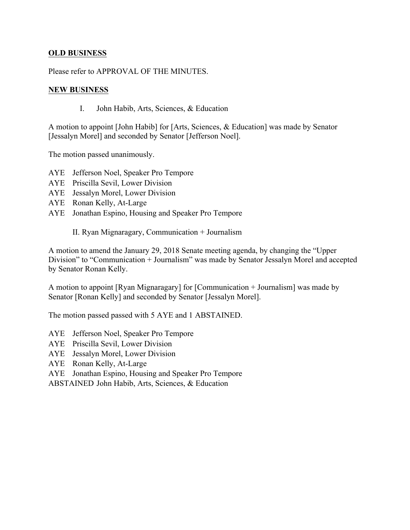# **OLD BUSINESS**

Please refer to APPROVAL OF THE MINUTES.

### **NEW BUSINESS**

I. John Habib, Arts, Sciences, & Education

A motion to appoint [John Habib] for [Arts, Sciences, & Education] was made by Senator [Jessalyn Morel] and seconded by Senator [Jefferson Noel].

The motion passed unanimously.

- AYE Jefferson Noel, Speaker Pro Tempore
- AYE Priscilla Sevil, Lower Division
- AYE Jessalyn Morel, Lower Division
- AYE Ronan Kelly, At-Large
- AYE Jonathan Espino, Housing and Speaker Pro Tempore

II. Ryan Mignaragary, Communication + Journalism

A motion to amend the January 29, 2018 Senate meeting agenda, by changing the "Upper Division" to "Communication + Journalism" was made by Senator Jessalyn Morel and accepted by Senator Ronan Kelly.

A motion to appoint [Ryan Mignaragary] for [Communication + Journalism] was made by Senator [Ronan Kelly] and seconded by Senator [Jessalyn Morel].

The motion passed passed with 5 AYE and 1 ABSTAINED.

AYE Jefferson Noel, Speaker Pro Tempore

- AYE Priscilla Sevil, Lower Division
- AYE Jessalyn Morel, Lower Division
- AYE Ronan Kelly, At-Large
- AYE Jonathan Espino, Housing and Speaker Pro Tempore

ABSTAINED John Habib, Arts, Sciences, & Education